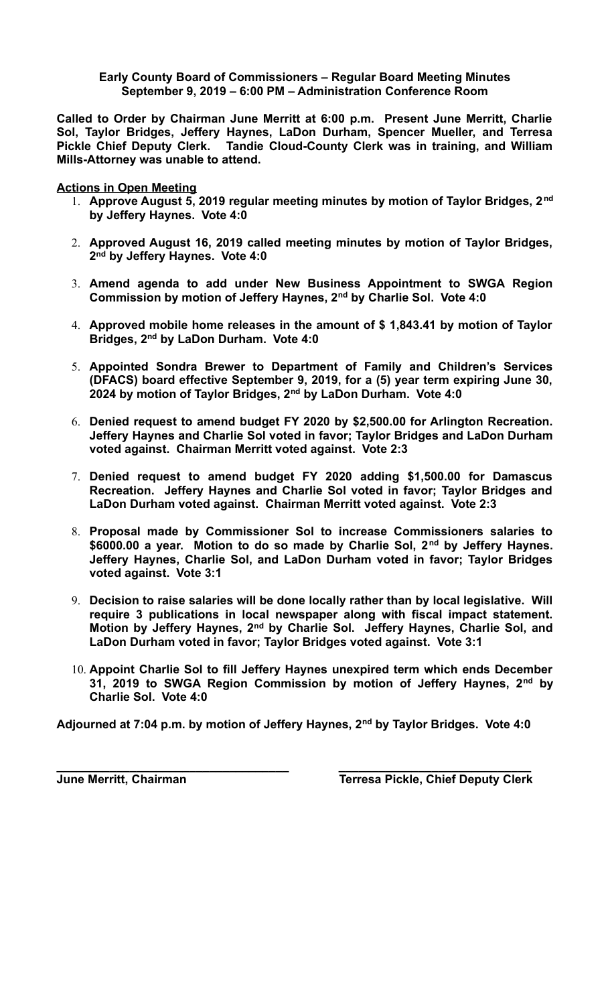**Early County Board of Commissioners – Regular Board Meeting Minutes September 9, 2019 – 6:00 PM – Administration Conference Room**

**Called to Order by Chairman June Merritt at 6:00 p.m. Present June Merritt, Charlie Sol, Taylor Bridges, Jeffery Haynes, LaDon Durham, Spencer Mueller, and Terresa Pickle Chief Deputy Clerk. Tandie Cloud-County Clerk was in training, and William Mills-Attorney was unable to attend.**

**Actions in Open Meeting**

- 1. **Approve August 5, 2019 regular meeting minutes by motion of Taylor Bridges, 2nd by Jeffery Haynes. Vote 4:0**
- 2. **Approved August 16, 2019 called meeting minutes by motion of Taylor Bridges, 2 nd by Jeffery Haynes. Vote 4:0**
- 3. **Amend agenda to add under New Business Appointment to SWGA Region Commission by motion of Jeffery Haynes, 2nd by Charlie Sol. Vote 4:0**
- 4. **Approved mobile home releases in the amount of \$ 1,843.41 by motion of Taylor Bridges, 2nd by LaDon Durham. Vote 4:0**
- 5. **Appointed Sondra Brewer to Department of Family and Children's Services (DFACS) board effective September 9, 2019, for a (5) year term expiring June 30, 2024 by motion of Taylor Bridges, 2nd by LaDon Durham. Vote 4:0**
- 6. **Denied request to amend budget FY 2020 by \$2,500.00 for Arlington Recreation. Jeffery Haynes and Charlie Sol voted in favor; Taylor Bridges and LaDon Durham voted against. Chairman Merritt voted against. Vote 2:3**
- 7. **Denied request to amend budget FY 2020 adding \$1,500.00 for Damascus Recreation. Jeffery Haynes and Charlie Sol voted in favor; Taylor Bridges and LaDon Durham voted against. Chairman Merritt voted against. Vote 2:3**
- 8. **Proposal made by Commissioner Sol to increase Commissioners salaries to \$6000.00 a year. Motion to do so made by Charlie Sol, 2nd by Jeffery Haynes. Jeffery Haynes, Charlie Sol, and LaDon Durham voted in favor; Taylor Bridges voted against. Vote 3:1**
- 9. **Decision to raise salaries will be done locally rather than by local legislative. Will require 3 publications in local newspaper along with fiscal impact statement. Motion by Jeffery Haynes, 2nd by Charlie Sol. Jeffery Haynes, Charlie Sol, and LaDon Durham voted in favor; Taylor Bridges voted against. Vote 3:1**
- 10. **Appoint Charlie Sol to fill Jeffery Haynes unexpired term which ends December 31, 2019 to SWGA Region Commission by motion of Jeffery Haynes, 2nd by Charlie Sol. Vote 4:0**

**Adjourned at 7:04 p.m. by motion of Jeffery Haynes, 2nd by Taylor Bridges. Vote 4:0**

**\_\_\_\_\_\_\_\_\_\_\_\_\_\_\_\_\_\_\_\_\_\_\_\_\_\_\_\_\_\_\_\_\_\_\_ \_\_\_\_\_\_\_\_\_\_\_\_\_\_\_\_\_\_\_\_\_\_\_\_\_\_\_\_\_ June Merritt, Chairman Terresa Pickle, Chief Deputy Clerk**